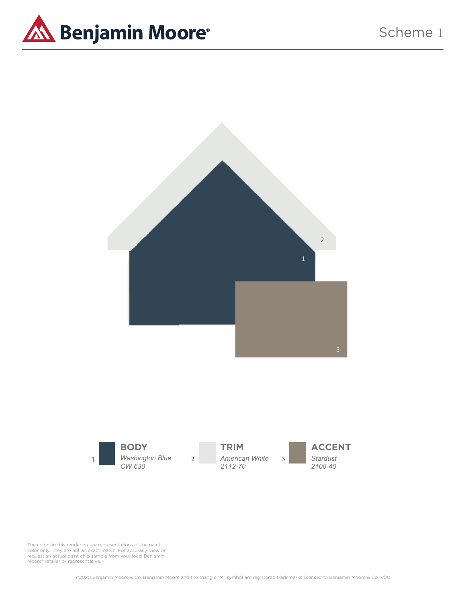

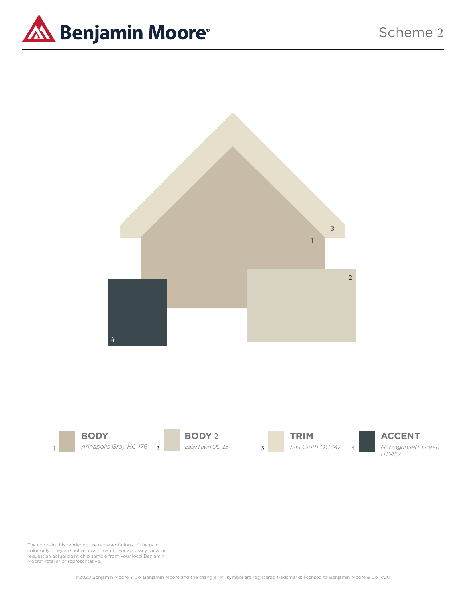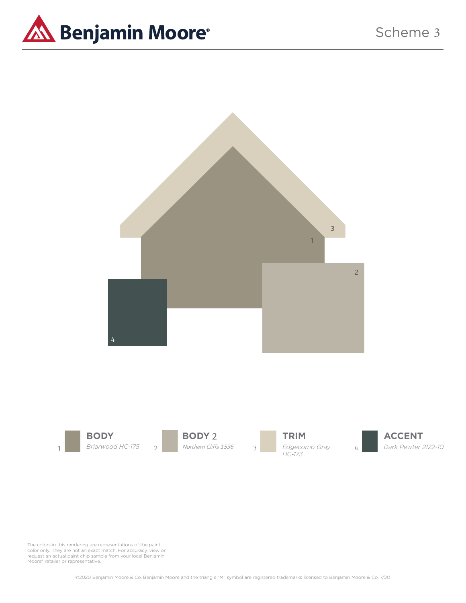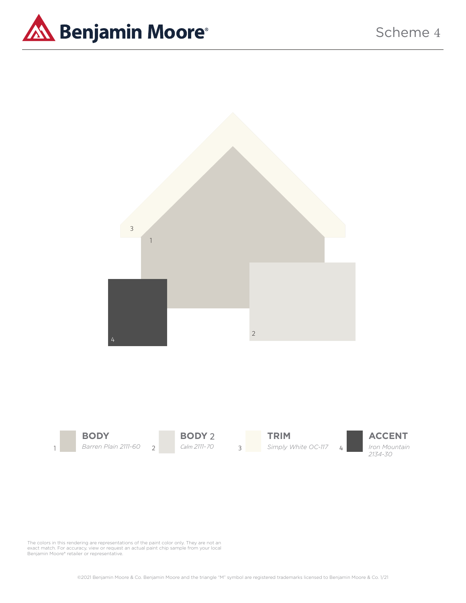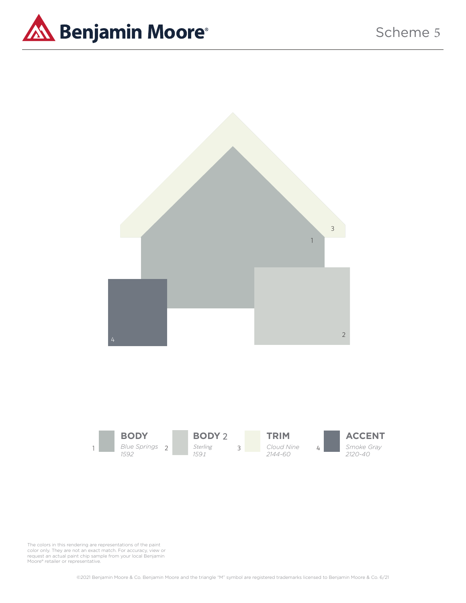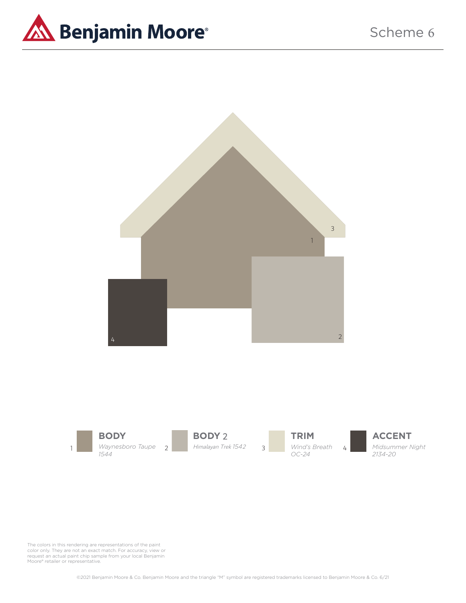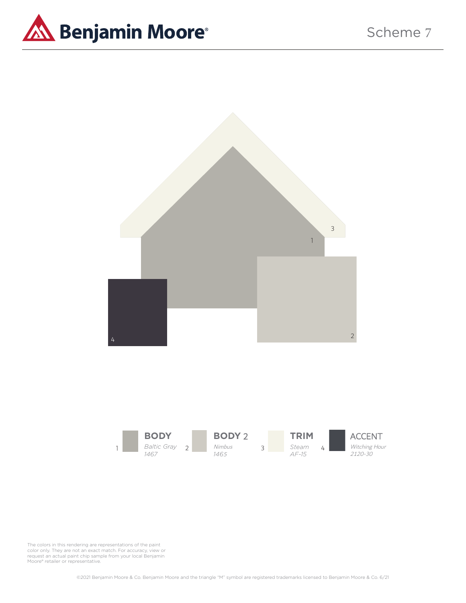



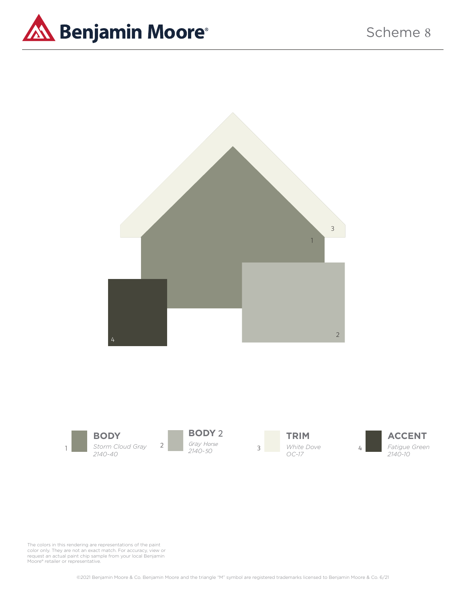

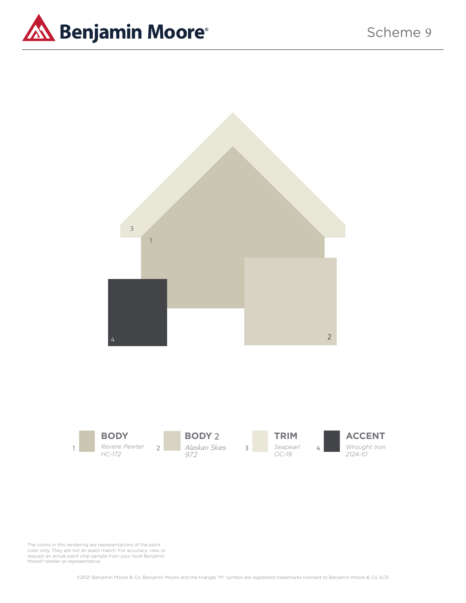